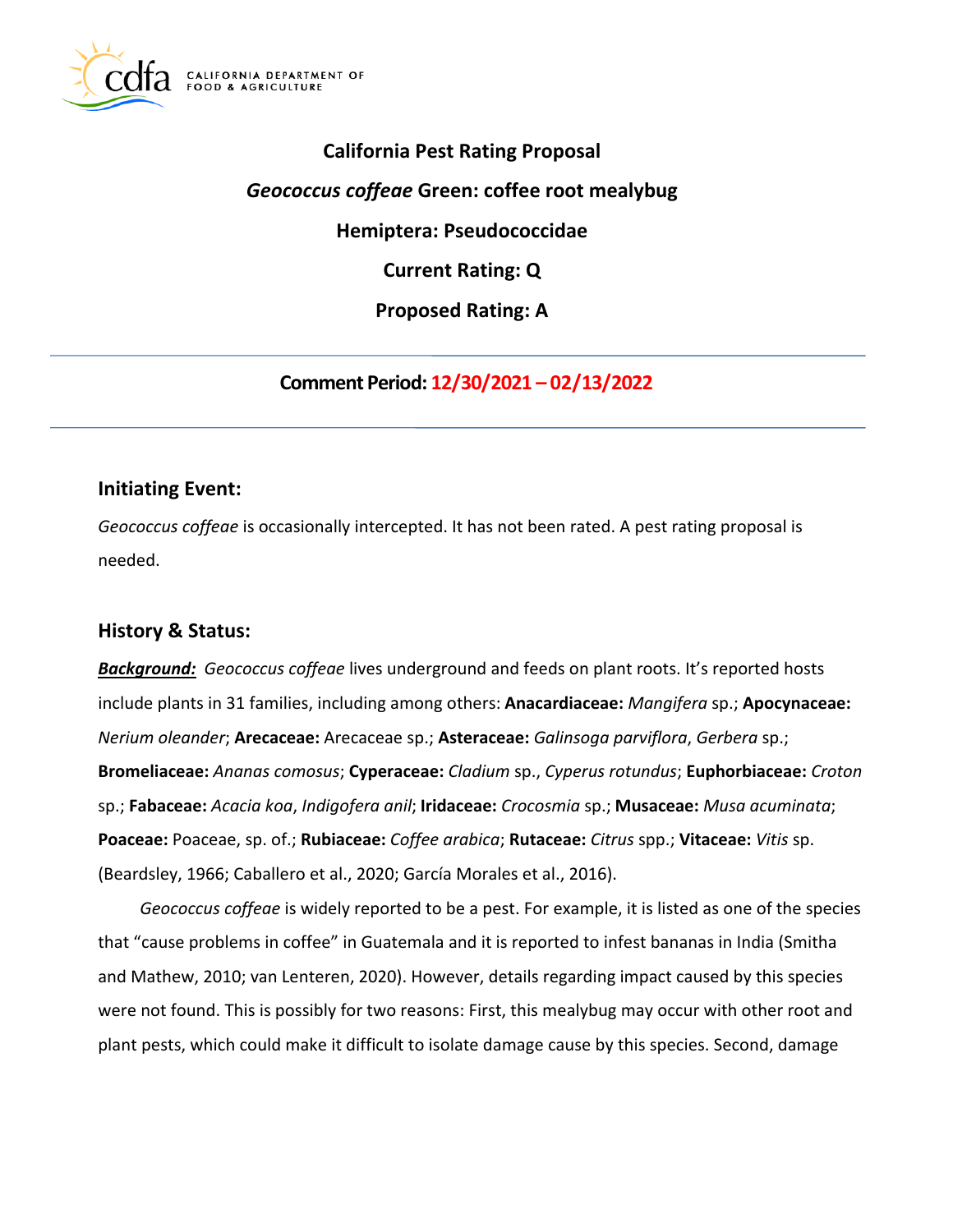

# **California Pest Rating Proposal**  *Geococcus coffeae* **Green: coffee root mealybug Hemiptera: Pseudococcidae Current Rating: Q Proposed Rating: A**

**Comment Period: 12/30/2021 – 02/13/2022** 

# **Initiating Event:**

*Geococcus coffeae* is occasionally intercepted. It has not been rated. A pest rating proposal is needed.

# **History & Status:**

*Background: Geococcus coffeae* lives underground and feeds on plant roots. It's reported hosts include plants in 31 families, including among others: **Anacardiaceae:** *Mangifera* sp.; **Apocynaceae:**  *Nerium oleander*; **Arecaceae:** Arecaceae sp.; **Asteraceae:** *Galinsoga parviflora*, *Gerbera* sp.; **Bromeliaceae:** *Ananas comosus*; **Cyperaceae:** *Cladium* sp., *Cyperus rotundus*; **Euphorbiaceae:** *Croton*  sp.; **Fabaceae:** *Acacia koa*, *Indigofera anil*; **Iridaceae:** *Crocosmia* sp.; **Musaceae:** *Musa acuminata*; **Poaceae:** Poaceae, sp. of.; **Rubiaceae:** *Coffee arabica*; **Rutaceae:** *Citrus* spp.; **Vitaceae:** *Vitis* sp. (Beardsley, 1966; Caballero et al., 2020; García Morales et al., 2016).

*Geococcus coffeae* is widely reported to be a pest. For example, it is listed as one of the species that "cause problems in coffee" in Guatemala and it is reported to infest bananas in India (Smitha and Mathew, 2010; van Lenteren, 2020). However, details regarding impact caused by this species were not found. This is possibly for two reasons: First, this mealybug may occur with other root and plant pests, which could make it difficult to isolate damage cause by this species. Second, damage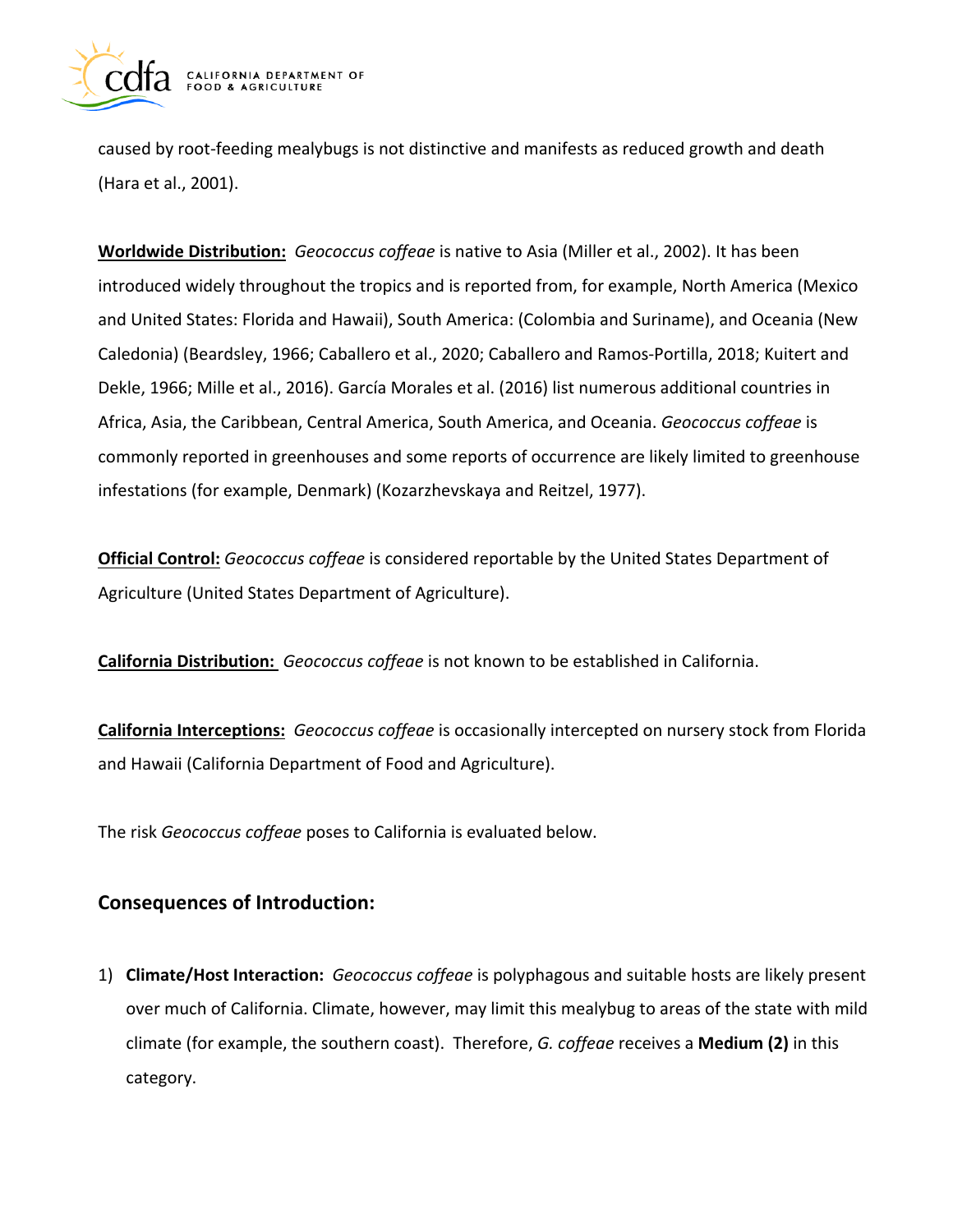

caused by root-feeding mealybugs is not distinctive and manifests as reduced growth and death (Hara et al., 2001).

**Worldwide Distribution:** *Geococcus coffeae* is native to Asia (Miller et al., 2002). It has been introduced widely throughout the tropics and is reported from, for example, North America (Mexico and United States: Florida and Hawaii), South America: (Colombia and Suriname), and Oceania (New Caledonia) (Beardsley, 1966; Caballero et al., 2020; Caballero and Ramos-Portilla, 2018; Kuitert and Dekle, 1966; Mille et al., 2016). García Morales et al. (2016) list numerous additional countries in Africa, Asia, the Caribbean, Central America, South America, and Oceania. *Geococcus coffeae* is commonly reported in greenhouses and some reports of occurrence are likely limited to greenhouse infestations (for example, Denmark) (Kozarzhevskaya and Reitzel, 1977).

**Official Control:** *Geococcus coffeae* is considered reportable by the United States Department of Agriculture (United States Department of Agriculture).

**California Distribution:** *Geococcus coffeae* is not known to be established in California.

**California Interceptions:** *Geococcus coffeae* is occasionally intercepted on nursery stock from Florida and Hawaii (California Department of Food and Agriculture).

The risk *Geococcus coffeae* poses to California is evaluated below.

# **Consequences of Introduction:**

1) **Climate/Host Interaction:** *Geococcus coffeae* is polyphagous and suitable hosts are likely present over much of California. Climate, however, may limit this mealybug to areas of the state with mild climate (for example, the southern coast). Therefore, *G. coffeae* receives a **Medium (2)** in this category.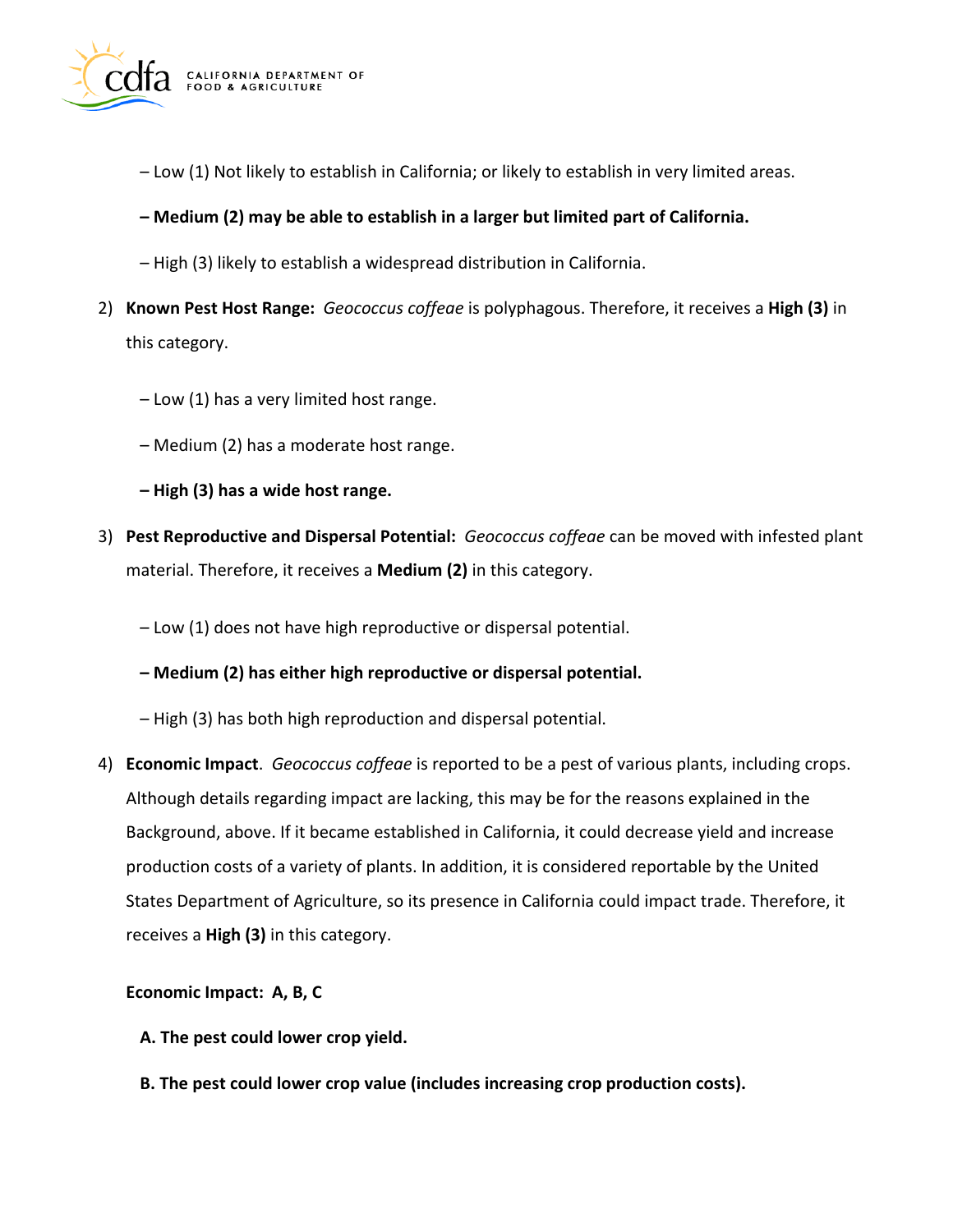

- Low (1) Not likely to establish in California; or likely to establish in very limited areas.
- **Medium (2) may be able to establish in a larger but limited part of California.**
- High (3) likely to establish a widespread distribution in California.
- 2) **Known Pest Host Range:** *Geococcus coffeae* is polyphagous. Therefore, it receives a **High (3)** in this category.
	- Low (1) has a very limited host range.
	- Medium (2) has a moderate host range.
	- **High (3) has a wide host range.**
- 3) **Pest Reproductive and Dispersal Potential:** *Geococcus coffeae* can be moved with infested plant material. Therefore, it receives a **Medium (2)** in this category.
	- Low (1) does not have high reproductive or dispersal potential.
	- **Medium (2) has either high reproductive or dispersal potential.**
	- High (3) has both high reproduction and dispersal potential.
- 4) **Economic Impact**. *Geococcus coffeae* is reported to be a pest of various plants, including crops. Although details regarding impact are lacking, this may be for the reasons explained in the Background, above. If it became established in California, it could decrease yield and increase production costs of a variety of plants. In addition, it is considered reportable by the United States Department of Agriculture, so its presence in California could impact trade. Therefore, it receives a **High (3)** in this category.

### **Economic Impact: A, B, C**

- **A. The pest could lower crop yield.**
- **B. The pest could lower crop value (includes increasing crop production costs).**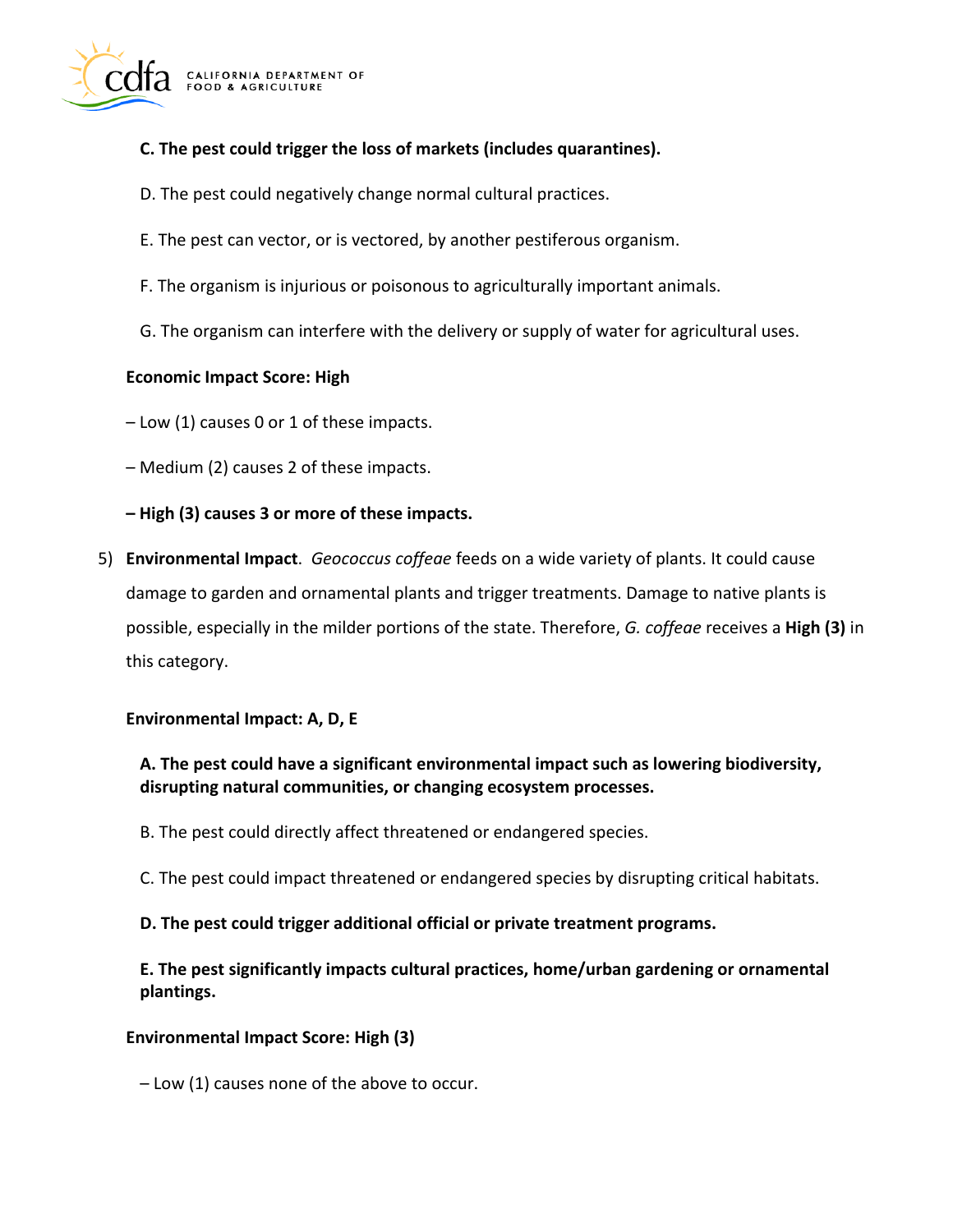

## **C. The pest could trigger the loss of markets (includes quarantines).**

- D. The pest could negatively change normal cultural practices.
- E. The pest can vector, or is vectored, by another pestiferous organism.
- F. The organism is injurious or poisonous to agriculturally important animals.
- G. The organism can interfere with the delivery or supply of water for agricultural uses.

### **Economic Impact Score: High**

– Low (1) causes 0 or 1 of these impacts.

- Medium (2) causes 2 of these impacts.
- **High (3) causes 3 or more of these impacts.**
- 5) **Environmental Impact**. *Geococcus coffeae* feeds on a wide variety of plants. It could cause damage to garden and ornamental plants and trigger treatments. Damage to native plants is possible, especially in the milder portions of the state. Therefore, *G. coffeae* receives a **High (3)** in this category.

### **Environmental Impact: A, D, E**

## **A. The pest could have a significant environmental impact such as lowering biodiversity, disrupting natural communities, or changing ecosystem processes.**

- B. The pest could directly affect threatened or endangered species.
- C. The pest could impact threatened or endangered species by disrupting critical habitats.

### **D. The pest could trigger additional official or private treatment programs.**

**E. The pest significantly impacts cultural practices, home/urban gardening or ornamental plantings.** 

### **Environmental Impact Score: High (3)**

– Low (1) causes none of the above to occur.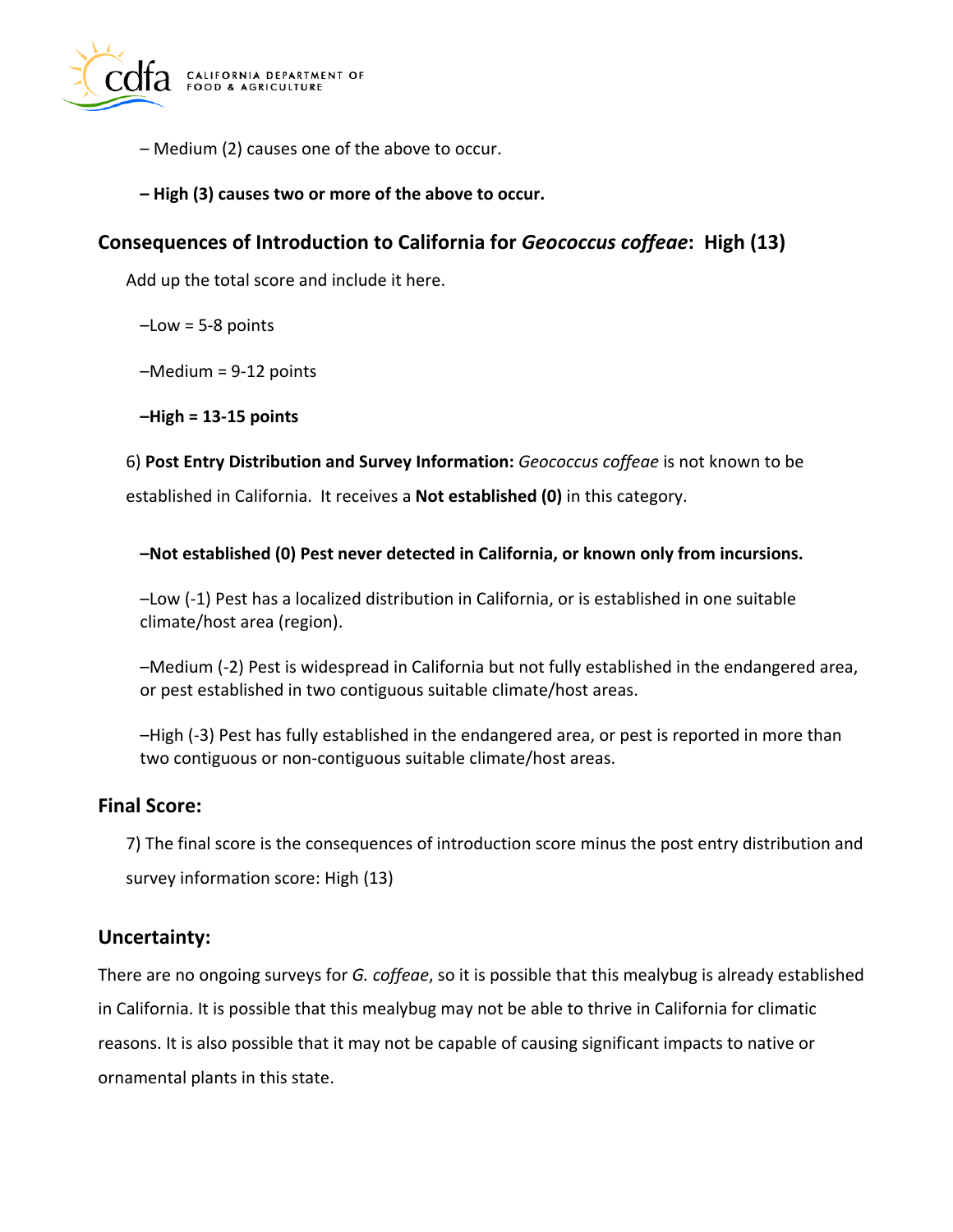

- Medium (2) causes one of the above to occur.
- **High (3) causes two or more of the above to occur.**

# **Consequences of Introduction to California for** *Geococcus coffeae***: High (13)**

Add up the total score and include it here.

 $-Low = 5-8$  points

–Medium = 9-12 points

**–High = 13-15 points** 

6) **Post Entry Distribution and Survey Information:** *Geococcus coffeae* is not known to be

established in California. It receives a **Not established (0)** in this category.

**–Not established (0) Pest never detected in California, or known only from incursions.** 

–Low (-1) Pest has a localized distribution in California, or is established in one suitable climate/host area (region).

–Medium (-2) Pest is widespread in California but not fully established in the endangered area, or pest established in two contiguous suitable climate/host areas.

–High (-3) Pest has fully established in the endangered area, or pest is reported in more than two contiguous or non-contiguous suitable climate/host areas.

# **Final Score:**

7) The final score is the consequences of introduction score minus the post entry distribution and survey information score: High (13)

# **Uncertainty:**

There are no ongoing surveys for *G. coffeae*, so it is possible that this mealybug is already established in California. It is possible that this mealybug may not be able to thrive in California for climatic reasons. It is also possible that it may not be capable of causing significant impacts to native or ornamental plants in this state.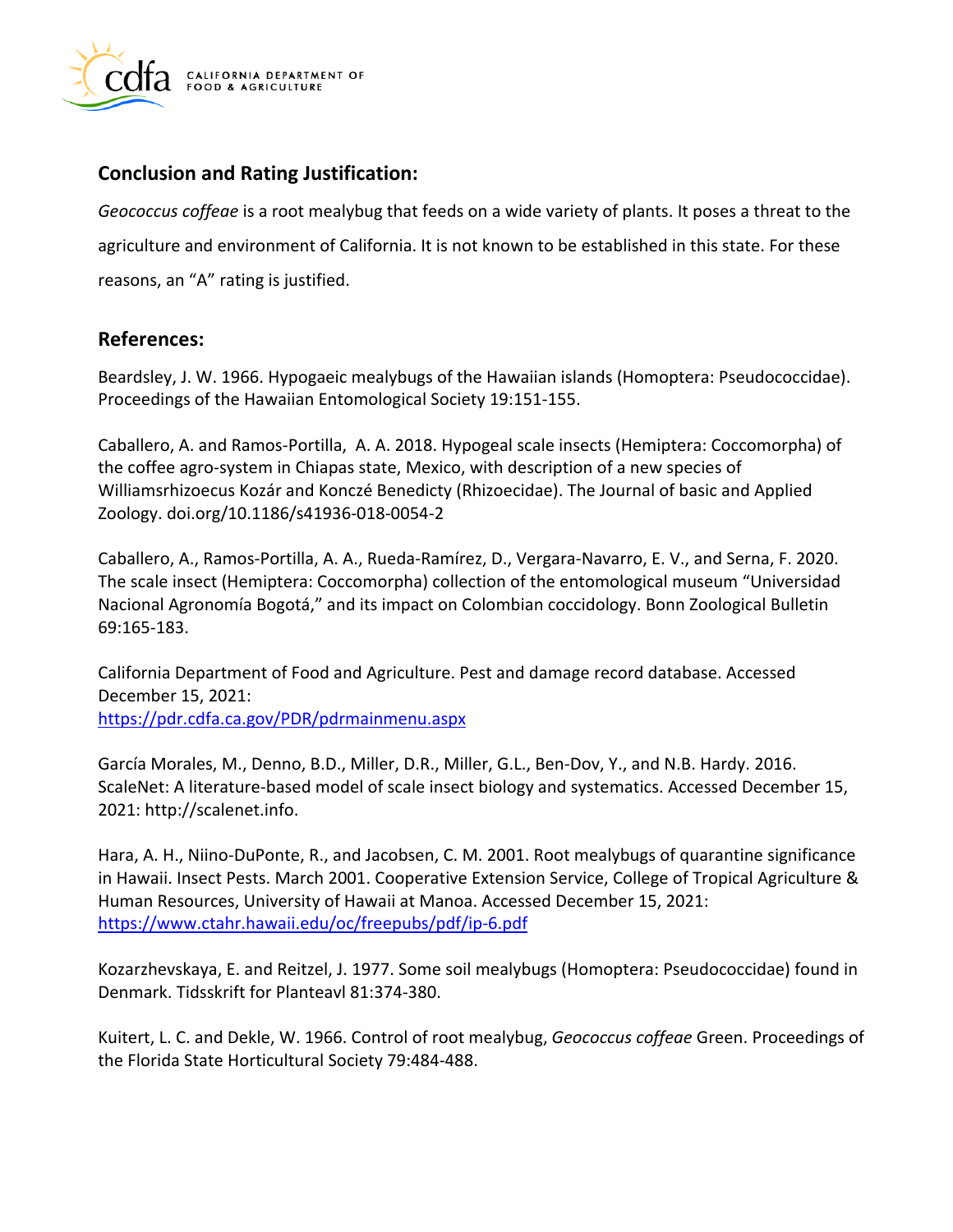

# **Conclusion and Rating Justification:**

*Geococcus coffeae* is a root mealybug that feeds on a wide variety of plants. It poses a threat to the agriculture and environment of California. It is not known to be established in this state. For these reasons, an "A" rating is justified.

# **References:**

Beardsley, J. W. 1966. Hypogaeic mealybugs of the Hawaiian islands (Homoptera: Pseudococcidae). Proceedings of the Hawaiian Entomological Society 19:151-155.

Caballero, A. and Ramos-Portilla, A. A. 2018. Hypogeal scale insects (Hemiptera: Coccomorpha) of the coffee agro-system in Chiapas state, Mexico, with description of a new species of Williamsrhizoecus Kozár and Konczé Benedicty (Rhizoecidae). The Journal of basic and Applied Zoology. [doi.org/10.1186/s41936-018-0054-2](https://doi.org/10.1186/s41936-018-0054-2)

Caballero, A., Ramos-Portilla, A. A., Rueda-Ramírez, D., Vergara-Navarro, E. V., and Serna, F. 2020. The scale insect (Hemiptera: Coccomorpha) collection of the entomological museum "Universidad Nacional Agronomía Bogotá," and its impact on Colombian coccidology. Bonn Zoological Bulletin 69:165-183.

California Department of Food and Agriculture. Pest and damage record database. Accessed December 15, 2021: <https://pdr.cdfa.ca.gov/PDR/pdrmainmenu.aspx>

García Morales, M., Denno, B.D., Miller, D.R., Miller, G.L., Ben-Dov, Y., and N.B. Hardy. 2016. ScaleNet: A literature-based model of scale insect biology and systematics. Accessed December 15, 2021:<http://scalenet.info>.

Hara, A. H., Niino-DuPonte, R., and Jacobsen, C. M. 2001. Root mealybugs of quarantine significance in Hawaii. Insect Pests. March 2001. Cooperative Extension Service, College of Tropical Agriculture & Human Resources, University of Hawaii at Manoa. Accessed December 15, 2021: <https://www.ctahr.hawaii.edu/oc/freepubs/pdf/ip-6.pdf>

Kozarzhevskaya, E. and Reitzel, J. 1977. Some soil mealybugs (Homoptera: Pseudococcidae) found in Denmark. Tidsskrift for Planteavl 81:374-380.

Kuitert, L. C. and Dekle, W. 1966. Control of root mealybug, *Geococcus coffeae* Green. Proceedings of the Florida State Horticultural Society 79:484-488.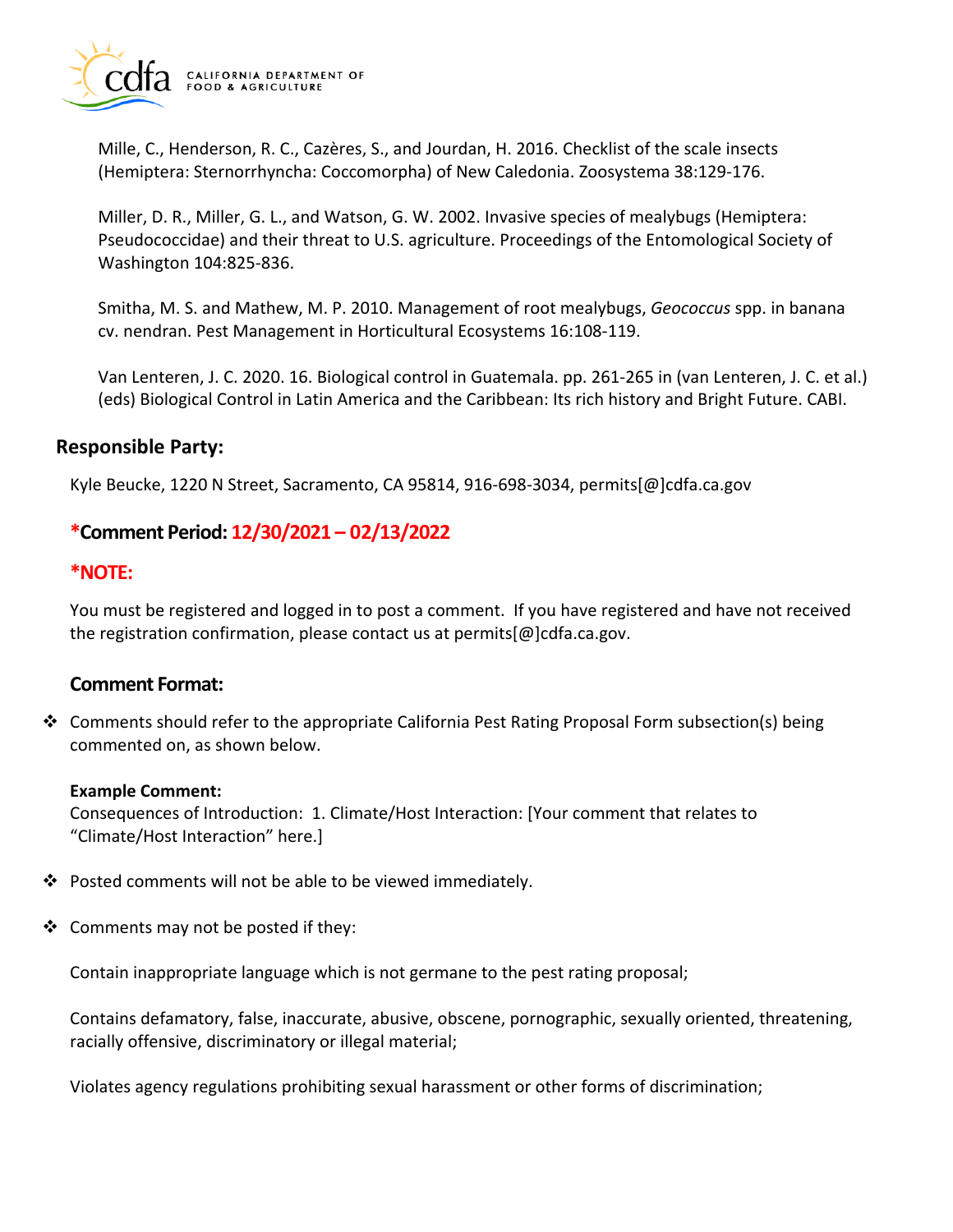

Mille, C., Henderson, R. C., Cazères, S., and Jourdan, H. 2016. Checklist of the scale insects (Hemiptera: Sternorrhyncha: Coccomorpha) of New Caledonia. Zoosystema 38:129-176.

Miller, D. R., Miller, G. L., and Watson, G. W. 2002. Invasive species of mealybugs (Hemiptera: Pseudococcidae) and their threat to U.S. agriculture. Proceedings of the Entomological Society of Washington 104:825-836.

Smitha, M. S. and Mathew, M. P. 2010. Management of root mealybugs, *Geococcus* spp. in banana cv. nendran. Pest Management in Horticultural Ecosystems 16:108-119.

Van Lenteren, J. C. 2020. 16. Biological control in Guatemala. pp. 261-265 in (van Lenteren, J. C. et al.) (eds) Biological Control in Latin America and the Caribbean: Its rich history and Bright Future. CABI.

## **Responsible Party:**

Kyle Beucke, 1220 N Street, Sacramento, CA 95814, 916-698-3034, [permits\[@\]cdfa.ca.gov](https://permits[@]cdfa.ca.gov) 

# **\*Comment Period: 12/30/2021 – 02/13/2022**

## **\*NOTE:**

You must be registered and logged in to post a comment. If you have registered and have not received the registration confirmation, please contact us at [permits\[@\]cdfa.ca.gov](https://permits[@]cdfa.ca.gov).

## **Comment Format:**

 $\clubsuit$  Comments should refer to the appropriate California Pest Rating Proposal Form subsection(s) being commented on, as shown below.

### **Example Comment:**

Consequences of Introduction: 1. Climate/Host Interaction: [Your comment that relates to "Climate/Host Interaction" here.]

- $\cdot$  Posted comments will not be able to be viewed immediately.
- $\triangleleft$  Comments may not be posted if they:

Contain inappropriate language which is not germane to the pest rating proposal;

Contains defamatory, false, inaccurate, abusive, obscene, pornographic, sexually oriented, threatening, racially offensive, discriminatory or illegal material;

Violates agency regulations prohibiting sexual harassment or other forms of discrimination;